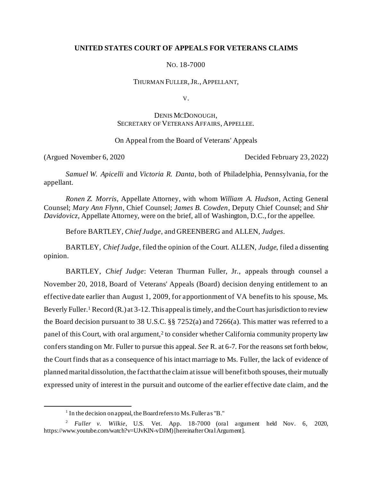## **UNITED STATES COURT OF APPEALS FOR VETERANS CLAIMS**

NO. 18-7000

THURMAN FULLER,JR., APPELLANT,

V.

# DENIS MCDONOUGH, SECRETARY OF VETERANS AFFAIRS, APPELLEE.

### On Appeal from the Board of Veterans' Appeals

(Argued November 6, 2020 Decided February 23, 2022)

*Samuel W. Apicelli* and *Victoria R. Danta*, both of Philadelphia, Pennsylvania, for the appellant.

*Ronen Z. Morris*, Appellate Attorney, with whom *William A. Hudson*, Acting General Counsel; *Mary Ann Flynn*, Chief Counsel; *James B. Cowden*, Deputy Chief Counsel; and *Shir Davidovicz*, Appellate Attorney, were on the brief, all of Washington, D.C., for the appellee.

Before BARTLEY, *Chief Judge*, and GREENBERG and ALLEN, *Judges*.

BARTLEY, *Chief Judge*, filed the opinion of the Court. ALLEN, *Judge*, filed a dissenting opinion.

BARTLEY, *Chief Judge*: Veteran Thurman Fuller, Jr., appeals through counsel a November 20, 2018, Board of Veterans' Appeals (Board) decision denying entitlement to an effective date earlier than August 1, 2009, for apportionment of VA benefits to his spouse, Ms. Beverly Fuller.<sup>1</sup> Record (R.) at 3-12. This appeal is timely, and the Court has jurisdiction to review the Board decision pursuant to 38 U.S.C. §§ 7252(a) and 7266(a). This matter was referred to a panel of this Court, with oral argument,<sup>2</sup> to consider whether California community property law confers standing on Mr. Fuller to pursue this appeal. *See* R. at 6-7. For the reasons set forth below, the Court finds that as a consequence of his intact marriage to Ms. Fuller, the lack of evidence of planned marital dissolution, the fact that the claim at issue will benefit both spouses, their mutually expressed unity of interest in the pursuit and outcome of the earlier effective date claim, and the

<sup>&</sup>lt;sup>1</sup> In the decision on appeal, the Board refers to Ms. Fuller as "B."

<sup>2</sup> *Fuller v. Wilkie*, U.S. Vet. App. 18-7000 (oral argument held Nov. 6, 2020, https://www.youtube.com/watch?v=UJvKlN-vDJM) [hereinafter Oral Argument].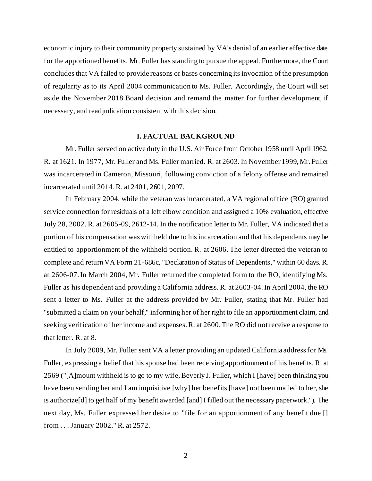economic injury to their community property sustained by VA's denial of an earlier effective date for the apportioned benefits, Mr. Fuller has standing to pursue the appeal. Furthermore, the Court concludes that VA failed to provide reasons or bases concerning its invocation of the presumption of regularity as to its April 2004 communication to Ms. Fuller. Accordingly, the Court will set aside the November 2018 Board decision and remand the matter for further development, if necessary, and readjudication consistent with this decision.

#### **I. FACTUAL BACKGROUND**

Mr. Fuller served on active duty in the U.S. Air Force from October 1958 until April 1962. R. at 1621. In 1977, Mr. Fuller and Ms. Fuller married. R. at 2603.In November 1999, Mr. Fuller was incarcerated in Cameron, Missouri, following conviction of a felony offense and remained incarcerated until 2014. R. at 2401, 2601, 2097.

In February 2004, while the veteran was incarcerated, a VA regional office (RO) granted service connection for residuals of a left elbow condition and assigned a 10% evaluation, effective July 28, 2002. R. at 2605-09, 2612-14. In the notification letter to Mr. Fuller, VA indicated that a portion of his compensation was withheld due to his incarceration and that his dependents may be entitled to apportionment of the withheld portion. R. at 2606. The letter directed the veteran to complete and return VA Form 21-686c, "Declaration of Status of Dependents," within 60 days. R. at 2606-07. In March 2004, Mr. Fuller returned the completed form to the RO, identifying Ms. Fuller as his dependent and providing a California address. R. at 2603-04. In April 2004, the RO sent a letter to Ms. Fuller at the address provided by Mr. Fuller, stating that Mr. Fuller had "submitted a claim on your behalf," informing her of her right to file an apportionment claim, and seeking verification of her income and expenses. R. at 2600. The RO did not receive a response to that letter. R. at 8.

In July 2009, Mr. Fuller sent VA a letter providing an updated California address for Ms. Fuller, expressing a belief that his spouse had been receiving apportionment of his benefits. R. at 2569 ("[A]mount withheld is to go to my wife, Beverly J. Fuller, which I [have] been thinking you have been sending her and I am inquisitive [why] her benefits [have] not been mailed to her, she is authorize[d] to get half of my benefit awarded [and] I filled out the necessary paperwork."). The next day, Ms. Fuller expressed her desire to "file for an apportionment of any benefit due [] from . . . January 2002." R. at 2572.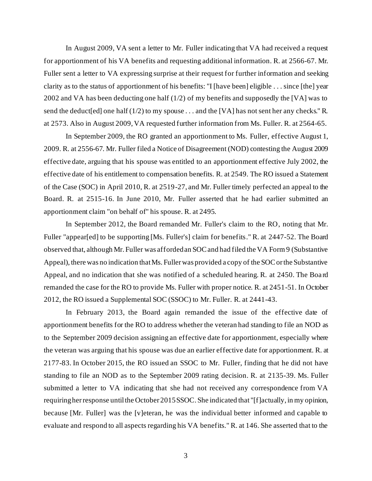In August 2009, VA sent a letter to Mr. Fuller indicating that VA had received a request for apportionment of his VA benefits and requesting additional information. R. at 2566-67. Mr. Fuller sent a letter to VA expressing surprise at their request for further information and seeking clarity as to the status of apportionment of his benefits: "I [have been] eligible . . . since [the] year 2002 and VA has been deducting one half (1/2) of my benefits and supposedly the [VA] was to send the deduct[ed] one half (1/2) to my spouse . . . and the [VA] has not sent her any checks." R. at 2573. Also in August 2009, VA requested further information from Ms. Fuller. R. at 2564-65.

In September 2009, the RO granted an apportionment to Ms. Fuller, effective August 1, 2009. R. at 2556-67. Mr. Fuller filed a Notice of Disagreement (NOD) contesting the August 2009 effective date, arguing that his spouse was entitled to an apportionment effective July 2002, the effective date of his entitlement to compensation benefits. R. at 2549. The RO issued a Statement of the Case (SOC) in April 2010, R. at 2519-27, and Mr. Fuller timely perfected an appeal to the Board. R. at 2515-16. In June 2010, Mr. Fuller asserted that he had earlier submitted an apportionment claim "on behalf of" his spouse. R. at 2495.

In September 2012, the Board remanded Mr. Fuller's claim to the RO, noting that Mr. Fuller "appear[ed] to be supporting [Ms. Fuller's] claim for benefits." R. at 2447-52. The Board observed that, although Mr. Fuller was afforded an SOC and had filed the VA Form 9 (Substantive Appeal), there was no indication that Ms. Fuller was provided a copy of the SOC or the Substantive Appeal, and no indication that she was notified of a scheduled hearing. R. at 2450. The Board remanded the case for the RO to provide Ms. Fuller with proper notice. R. at 2451-51. In October 2012, the RO issued a Supplemental SOC (SSOC) to Mr. Fuller. R. at 2441-43.

In February 2013, the Board again remanded the issue of the effective date of apportionment benefits for the RO to address whether the veteran had standing to file an NOD as to the September 2009 decision assigning an effective date for apportionment, especially where the veteran was arguing that his spouse was due an earlier effective date for apportionment. R. at 2177-83. In October 2015, the RO issued an SSOC to Mr. Fuller, finding that he did not have standing to file an NOD as to the September 2009 rating decision. R. at 2135-39. Ms. Fuller submitted a letter to VA indicating that she had not received any correspondence from VA requiring her response until the October 2015 SSOC. She indicated that "[f]actually, in my opinion, because [Mr. Fuller] was the [v]eteran, he was the individual better informed and capable to evaluate and respond to all aspects regarding his VA benefits." R. at 146. She asserted that to the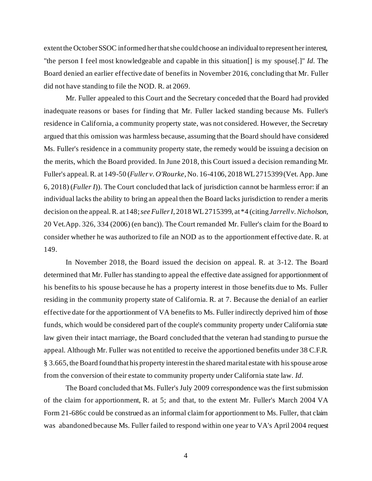extent the October SSOC informed her that she could choose an individual to represent her interest, "the person I feel most knowledgeable and capable in this situation[] is my spouse[.]" *Id.* The Board denied an earlier effective date of benefits in November 2016, concluding that Mr. Fuller did not have standing to file the NOD. R. at 2069.

Mr. Fuller appealed to this Court and the Secretary conceded that the Board had provided inadequate reasons or bases for finding that Mr. Fuller lacked standing because Ms. Fuller's residence in California, a community property state, was not considered. However, the Secretary argued that this omission was harmless because, assuming that the Board should have considered Ms. Fuller's residence in a community property state, the remedy would be issuing a decision on the merits, which the Board provided. In June 2018, this Court issued a decision remanding Mr. Fuller's appeal. R. at 149-50 (*Fuller v. O'Rourke*, No. 16-4106, 2018 WL 2715399 (Vet. App. June 6, 2018) (*Fuller I*)). The Court concluded that lack of jurisdiction cannot be harmless error: if an individual lacks the ability to bring an appeal then the Board lacks jurisdiction to render a merits decision on the appeal. R. at 148; *see Fuller I*, 2018 WL 2715399, at \*4 (citing *Jarrell v. Nicholson*, 20 Vet.App. 326, 334 (2006) (en banc)). The Court remanded Mr. Fuller's claim for the Board to consider whether he was authorized to file an NOD as to the apportionment effective date. R. at 149.

In November 2018, the Board issued the decision on appeal. R. at 3-12. The Board determined that Mr. Fuller has standing to appeal the effective date assigned for apportionment of his benefits to his spouse because he has a property interest in those benefits due to Ms. Fuller residing in the community property state of California. R. at 7. Because the denial of an earlier effective date for the apportionment of VA benefits to Ms. Fuller indirectly deprived him of those funds, which would be considered part of the couple's community property under California state law given their intact marriage, the Board concluded that the veteran had standing to pursue the appeal. Although Mr. Fuller was not entitled to receive the apportioned benefits under 38 C.F.R. § 3.665, the Board found that his property interest in the shared marital estate with his spouse arose from the conversion of their estate to community property under California state law. *Id.* 

The Board concluded that Ms. Fuller's July 2009 correspondence was the first submission of the claim for apportionment, R. at 5; and that, to the extent Mr. Fuller's March 2004 VA Form 21-686c could be construed as an informal claim for apportionment to Ms. Fuller, that claim was abandoned because Ms. Fuller failed to respond within one year to VA's April 2004 request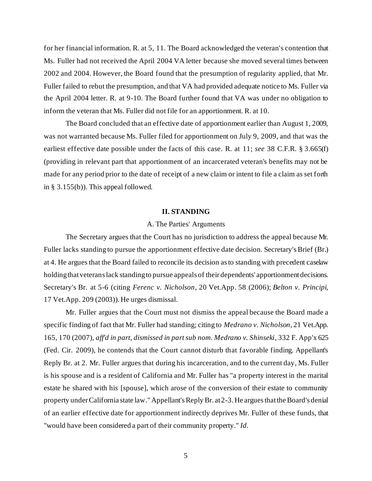for her financial information. R. at 5, 11. The Board acknowledged the veteran's contention that Ms. Fuller had not received the April 2004 VA letter because she moved several times between 2002 and 2004. However, the Board found that the presumption of regularity applied, that Mr. Fuller failed to rebut the presumption, and that VA had provided adequate notice to Ms. Fuller via the April 2004 letter. R. at 9-10. The Board further found that VA was under no obligation to inform the veteran that Ms. Fuller did not file for an apportionment. R. at 10.

The Board concluded that an effective date of apportionment earlier than August 1, 2009, was not warranted because Ms. Fuller filed for apportionment on July 9, 2009, and that was the earliest effective date possible under the facts of this case. R. at 11; *see* 38 C.F.R. § 3.665(f) (providing in relevant part that apportionment of an incarcerated veteran's benefits may not be made for any period prior to the date of receipt of a new claim or intent to file a claim as set forth in § 3.155(b)). This appeal followed.

#### **II. STANDING**

### A. The Parties' Arguments

The Secretary argues that the Court has no jurisdiction to address the appeal because Mr. Fuller lacks standing to pursue the apportionment effective date decision. Secretary's Brief (Br.) at 4. He argues that the Board failed to reconcile its decision as to standing with precedent caselaw holding that veterans lack standing to pursue appeals of their dependents' apportionment decisions. Secretary's Br. at 5-6 (citing *Ferenc v. Nicholson*, 20 Vet.App. 58 (2006); *Belton v. Principi*, 17 Vet.App. 209 (2003)). He urges dismissal.

Mr. Fuller argues that the Court must not dismiss the appeal because the Board made a specific finding of fact that Mr. Fuller had standing; citing to *Medrano v. Nicholson*, 21 Vet.App. 165, 170 (2007), *aff'd in part, dismissed in part sub nom. Medrano v. Shinseki*, 332 F. App'x 625 (Fed. Cir. 2009), he contends that the Court cannot disturb that favorable finding. Appellant's Reply Br. at 2. Mr. Fuller argues that during his incarceration, and to the current day, Ms. Fuller is his spouse and is a resident of California and Mr. Fuller has "a property interest in the marital estate he shared with his [spouse], which arose of the conversion of their estate to community property under California state law." Appellant's Reply Br. at 2-3. He argues that the Board's denial of an earlier effective date for apportionment indirectly deprives Mr. Fuller of these funds, that "would have been considered a part of their community property." *Id.*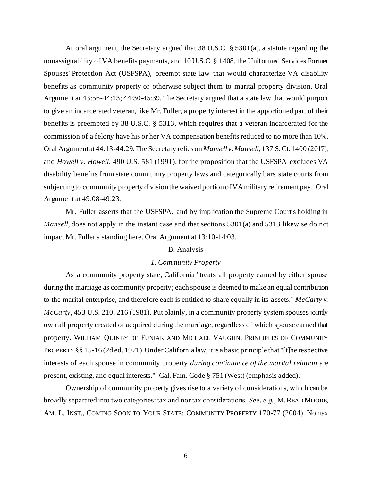At oral argument, the Secretary argued that 38 U.S.C. § 5301(a), a statute regarding the nonassignability of VA benefits payments, and 10 U.S.C. § 1408, the Uniformed Services Former Spouses' Protection Act (USFSPA), preempt state law that would characterize VA disability benefits as community property or otherwise subject them to marital property division. Oral Argument at 43:56-44:13; 44:30-45:39. The Secretary argued that a state law that would purport to give an incarcerated veteran, like Mr. Fuller, a property interest in the apportioned part of their benefits is preempted by 38 U.S.C. § 5313, which requires that a veteran incarcerated for the commission of a felony have his or her VA compensation benefits reduced to no more than 10%. Oral Argument at 44:13-44:29. The Secretary relies on *Mansell v. Mansell*, 137 S.Ct. 1400 (2017), and *Howell v. Howell*, 490 U.S. 581 (1991), for the proposition that the USFSPA excludes VA disability benefits from state community property laws and categorically bars state courts from subjecting to community property division the waived portion of VA military retirement pay. Oral Argument at 49:08-49:23.

Mr. Fuller asserts that the USFSPA, and by implication the Supreme Court's holding in *Mansell*, does not apply in the instant case and that sections 5301(a) and 5313 likewise do not impact Mr. Fuller's standing here. Oral Argument at 13:10-14:03.

#### B. Analysis

### *1. Community Property*

As a community property state, California "treats all property earned by either spouse during the marriage as community property; each spouse is deemed to make an equal contribution to the marital enterprise, and therefore each is entitled to share equally in its assets." *McCarty v. McCarty*, 453 U.S. 210, 216 (1981). Put plainly, in a community property system spouses jointly own all property created or acquired during the marriage, regardless of which spouse earned that property. WILLIAM QUINBY DE FUNIAK AND MICHAEL VAUGHN, PRINCIPLES OF COMMUNITY PROPERTY §§ 15-16 (2d ed. 1971). Under California law, it is a basic principle that "[t]he respective interests of each spouse in community property *during continuance of the marital relation* are present, existing, and equal interests." Cal. Fam. Code § 751 (West) (emphasis added).

Ownership of community property gives rise to a variety of considerations, which can be broadly separated into two categories: tax and nontax considerations. *See, e.g.*, M.READ MOORE, AM. L. INST., COMING SOON TO YOUR STATE: COMMUNITY PROPERTY 170-77 (2004). Nontax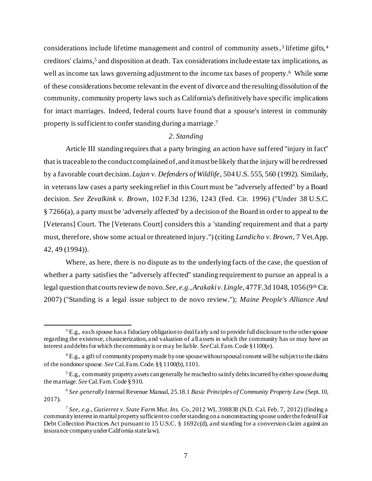considerations include lifetime management and control of community assets, 3 lifetime gifts, 4 creditors' claims, <sup>5</sup> and disposition at death. Tax considerations include estate tax implications, as well as income tax laws governing adjustment to the income tax bases of property.<sup>6</sup> While some of these considerations become relevant in the event of divorce and the resulting dissolution of the community, community property laws such as California's definitively have specific implications for intact marriages. Indeed, federal courts have found that a spouse's interest in community property is sufficient to confer standing during a marriage. 7

#### *2. Standing*

Article III standing requires that a party bringing an action have suffered "injury in fact" that is traceable to the conduct complained of, and it must be likely that the injury will be redressed by a favorable court decision. *Lujan v. Defenders of Wildlife*, 504 U.S. 555, 560 (1992). Similarly, in veterans law cases a party seeking relief in this Court must be "adversely affected" by a Board decision. *See Zevalkink v. Brown*, 102 F.3d 1236, 1243 (Fed. Cir. 1996) ("Under 38 U.S.C. § 7266(a), a party must be 'adversely affected' by a decision of the Board in order to appeal to the [Veterans] Court. The [Veterans Court] considers this a 'standing' requirement and that a party must, therefore, show some actual or threatened injury.") (citing *Landicho v. Brown*, 7 Vet.App. 42, 49 (1994)).

Where, as here, there is no dispute as to the underlying facts of the case, the question of whether a party satisfies the "adversely affected" standing requirement to pursue an appeal is a legal question that courts review de novo. See, e.g., Arakaki v. Lingle, 477 F.3d 1048, 1056 (9<sup>th</sup> Cir. 2007) ("Standing is a legal issue subject to de novo review."); *Maine People's Alliance And* 

 $3$  E.g., each spouse has a fiduciary obligation to deal fairly and to provide full disclosure to the other spouse regarding the existence, characterization, and valuation of all assets in which the community has or may have an interest and debts for which the community is or may be liable. *See*Cal. Fam. Code §1100(e).

<sup>&</sup>lt;sup>4</sup> E.g., a gift of community property made by one spouse without spousal consent will be subject to the claims of the nondonor spouse. *See* Cal. Fam. Code. §§ 1100(b), 1101.

 $5$  E.g., community property assets can generally be reached to satisfy debts incurred by either spouse during the marriage. *See* Cal. Fam. Code § 910.

<sup>6</sup> *See generally* Internal Revenue Manual, 25.18.1 *Basic Principles of Community Property Law* (Sept. 10, 2017).

<sup>7</sup> *See, e.g.*, *Gutierrez v. State Farm Mut. Ins. Co*, 2012 WL 398838 (N.D. Cal. Feb. 7, 2012) (finding a community interest in marital property sufficient to confer standing on a noncontracting spouse under the federal Fair Debt Collection Practices Act pursuant to 15 U.S.C. § 1692c(d), and standing for a conversion claim against an insurance company under California state law).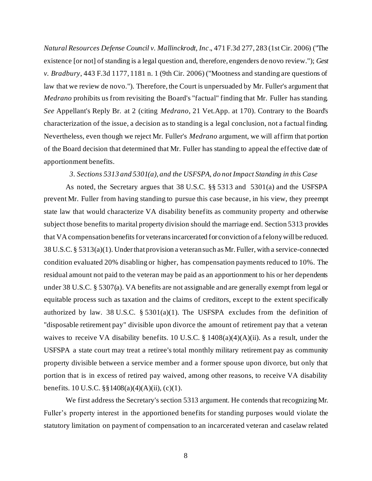*Natural Resources Defense Council v. Mallinckrodt, Inc*., 471 F.3d 277, 283 (1st Cir. 2006) ("The existence [or not] of standing is a legal question and, therefore, engenders de novo review."); *Gest v. Bradbury*, 443 F.3d 1177, 1181 n. 1 (9th Cir. 2006) ("Mootness and standing are questions of law that we review de novo."). Therefore, the Court is unpersuaded by Mr. Fuller's argument that *Medrano* prohibits us from revisiting the Board's "factual" finding that Mr. Fuller has standing. *See* Appellant's Reply Br. at 2 (citing *Medrano*, 21 Vet.App. at 170). Contrary to the Board's characterization of the issue, a decision as to standing is a legal conclusion, not a factual finding. Nevertheless, even though we reject Mr. Fuller's *Medrano* argument, we will affirm that portion of the Board decision that determined that Mr. Fuller has standing to appeal the effective date of apportionment benefits.

# *3. Sections 5313 and 5301(a), and the USFSPA, do not Impact Standing in this Case*

As noted, the Secretary argues that 38 U.S.C. §§ 5313 and 5301(a) and the USFSPA prevent Mr. Fuller from having standing to pursue this case because, in his view, they preempt state law that would characterize VA disability benefits as community property and otherwise subject those benefits to marital property division should the marriage end. Section 5313 provides that VA compensation benefits for veterans incarcerated for conviction of a felony will be reduced. 38 U.S.C. § 5313(a)(1). Under that provision a veteran such as Mr. Fuller, with a service-connected condition evaluated 20% disabling or higher, has compensation payments reduced to 10%. The residual amount not paid to the veteran may be paid as an apportionment to his or her dependents under 38 U.S.C. § 5307(a). VA benefits are not assignable and are generally exempt from legal or equitable process such as taxation and the claims of creditors, except to the extent specifically authorized by law. 38 U.S.C.  $\S 5301(a)(1)$ . The USFSPA excludes from the definition of "disposable retirement pay" divisible upon divorce the amount of retirement pay that a veteran waives to receive VA disability benefits. 10 U.S.C. § 1408(a)(4)(A)(ii). As a result, under the USFSPA a state court may treat a retiree's total monthly military retirement pay as community property divisible between a service member and a former spouse upon divorce, but only that portion that is in excess of retired pay waived, among other reasons, to receive VA disability benefits. 10 U.S.C.  $\S$ §1408(a)(4)(A)(ii), (c)(1).

We first address the Secretary's section 5313 argument. He contends that recognizing Mr. Fuller's property interest in the apportioned benefits for standing purposes would violate the statutory limitation on payment of compensation to an incarcerated veteran and caselaw related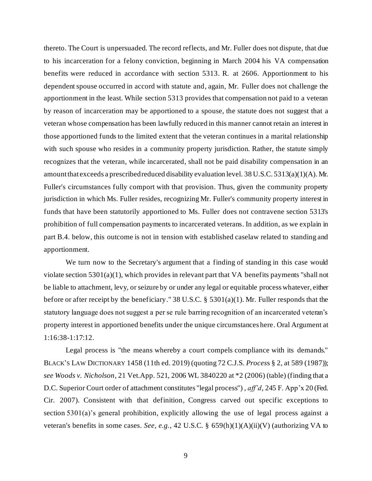thereto. The Court is unpersuaded. The record reflects, and Mr. Fuller does not dispute, that due to his incarceration for a felony conviction, beginning in March 2004 his VA compensation benefits were reduced in accordance with section 5313. R. at 2606. Apportionment to his dependent spouse occurred in accord with statute and, again, Mr. Fuller does not challenge the apportionment in the least. While section 5313 provides that compensation not paid to a veteran by reason of incarceration may be apportioned to a spouse, the statute does not suggest that a veteran whose compensation has been lawfully reduced in this manner cannot retain an interest in those apportioned funds to the limited extent that the veteran continues in a marital relationship with such spouse who resides in a community property jurisdiction. Rather, the statute simply recognizes that the veteran, while incarcerated, shall not be paid disability compensation in an amount that exceeds a prescribed reduced disability evaluation level. 38 U.S.C. 5313(a)(1)(A). Mr. Fuller's circumstances fully comport with that provision. Thus, given the community property jurisdiction in which Ms. Fuller resides, recognizing Mr. Fuller's community property interest in funds that have been statutorily apportioned to Ms. Fuller does not contravene section 5313's prohibition of full compensation payments to incarcerated veterans. In addition, as we explain in part B.4. below, this outcome is not in tension with established caselaw related to standing and apportionment.

We turn now to the Secretary's argument that a finding of standing in this case would violate section 5301(a)(1), which provides in relevant part that VA benefits payments "shall not be liable to attachment, levy, or seizure by or under any legal or equitable process whatever*,* either before or after receipt by the beneficiary." 38 U.S.C. § 5301(a)(1). Mr. Fuller responds that the statutory language does not suggest a per se rule barring recognition of an incarcerated veteran's property interest in apportioned benefits under the unique circumstances here. Oral Argument at 1:16:38-1:17:12.

Legal process is "the means whereby a court compels compliance with its demands." BLACK'S LAW DICTIONARY 1458 (11th ed. 2019) (quoting 72 C.J.S. *Proces*s § 2, at 589 (1987)); *see Woods v. Nicholson*, 21 Vet.App. 521, 2006 WL 3840220 at \*2 (2006) (table) (finding that a D.C. Superior Court order of attachment constitutes "legal process") , *aff'd*, 245 F. App'x 20 (Fed. Cir. 2007). Consistent with that definition, Congress carved out specific exceptions to section 5301(a)'s general prohibition, explicitly allowing the use of legal process against a veteran's benefits in some cases. *See, e.g.*, 42 U.S.C. § 659(h)(1)(A)(ii)(V) (authorizing VA to

9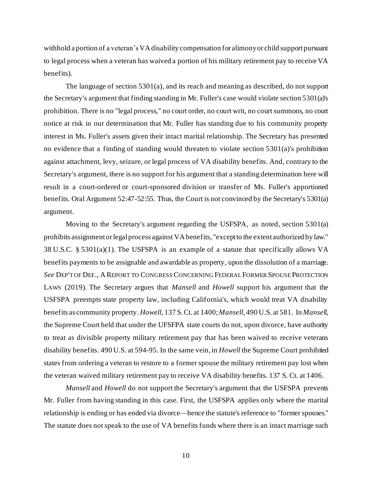withhold a portion of a veteran's VA disability compensation for alimony or child support pursuant to legal process when a veteran has waived a portion of his military retirement pay to receive VA benefits).

The language of section 5301(a), and its reach and meaning as described, do not support the Secretary's argument that finding standing in Mr. Fuller's case would violate section 5301(a)'s prohibition. There is no "legal process," no court order, no court writ, no court summons, no court notice at risk in our determination that Mr. Fuller has standing due to his community property interest in Ms. Fuller's assets given their intact marital relationship. The Secretary has presented no evidence that a finding of standing would threaten to violate section 5301(a)'s prohibition against attachment, levy, seizure, or legal process of VA disability benefits. And, contrary to the Secretary's argument, there is no support for his argument that a standing determination here will result in a court-ordered or court-sponsored division or transfer of Ms. Fuller's apportioned benefits. Oral Argument 52:47-52:55. Thus, the Court is not convinced by the Secretary's 5301(a) argument.

Moving to the Secretary's argument regarding the USFSPA, as noted, section 5301(a) prohibits assignment or legal process against VA benefits, "except to the extent authorized by law." 38 U.S.C. § 5301(a)(1). The USFSPA is an example of a statute that specifically allows VA benefits payments to be assignable and awardable as property, upon the dissolution of a marriage. *See* DEP'T OF DEF., AREPORT TO CONGRESS CONCERNING FEDERAL FORMER SPOUSE PROTECTION LAWS (2019). The Secretary argues that *Mansell* and *Howell* support his argument that the USFSPA preempts state property law, including California's, which would treat VA disability benefits as community property. *Howell*, 137 S.Ct. at 1400;*Mansell*, 490 U.S. at 581. In *Mansell*, the Supreme Court held that under the UFSFPA state courts do not, upon divorce, have authority to treat as divisible property military retirement pay that has been waived to receive veterans disability benefits. 490 U.S. at 594-95. In the same vein, in *Howell* the Supreme Court prohibited states from ordering a veteran to restore to a former spouse the military retirement pay lost when the veteran waived military retirement pay to receive VA disability benefits. 137 S. Ct. at 1406.

*Mansell* and *Howell* do not support the Secretary's argument that the USFSPA prevents Mr. Fuller from having standing in this case. First, the USFSPA applies only where the marital relationship is ending or has ended via divorce—hence the statute's reference to "former spouses." The statute does not speak to the use of VA benefits funds where there is an intact marriage such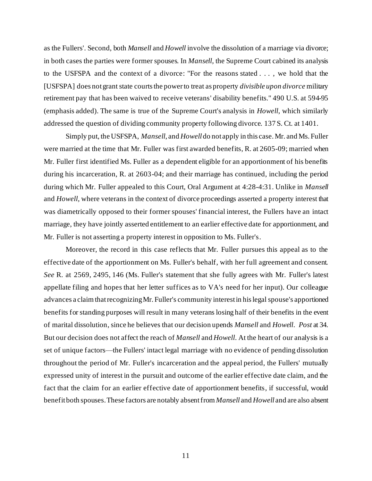as the Fullers'. Second, both *Mansell* and *Howell* involve the dissolution of a marriage via divorce; in both cases the parties were former spouses. In *Mansell*, the Supreme Court cabined its analysis to the USFSPA and the context of a divorce: "For the reasons stated . . . , we hold that the [USFSPA] does not grant state courts the power to treat as property *divisible upon divorce* military retirement pay that has been waived to receive veterans' disability benefits." 490 U.S. at 594-95 (emphasis added). The same is true of the Supreme Court's analysis in *Howell*, which similarly addressed the question of dividing community property following divorce. 137 S. Ct. at 1401.

Simply put, the USFSPA, *Mansell*, and *Howell* do not apply in this case. Mr. and Ms. Fuller were married at the time that Mr. Fuller was first awarded benefits, R. at 2605-09; married when Mr. Fuller first identified Ms. Fuller as a dependent eligible for an apportionment of his benefits during his incarceration, R. at 2603-04; and their marriage has continued, including the period during which Mr. Fuller appealed to this Court, Oral Argument at 4:28-4:31. Unlike in *Mansell*  and *Howell*, where veterans in the context of divorce proceedings asserted a property interest that was diametrically opposed to their former spouses' financial interest, the Fullers have an intact marriage, they have jointly asserted entitlement to an earlier effective date for apportionment, and Mr. Fuller is not asserting a property interest in opposition to Ms. Fuller's.

Moreover, the record in this case reflects that Mr. Fuller pursues this appeal as to the effective date of the apportionment on Ms. Fuller's behalf, with her full agreement and consent. *See* R. at 2569, 2495, 146 (Ms. Fuller's statement that she fully agrees with Mr. Fuller's latest appellate filing and hopes that her letter suffices as to VA's need for her input). Our colleague advances a claim that recognizing Mr. Fuller's community interest in his legal spouse's apportioned benefits for standing purposes will result in many veterans losing half of their benefits in the event of marital dissolution, since he believes that our decision upends *Mansell* and *Howell*. *Post* at 34. But our decision does not affect the reach of *Mansell* and *Howell*. At the heart of our analysis is a set of unique factors—the Fullers' intact legal marriage with no evidence of pending dissolution throughout the period of Mr. Fuller's incarceration and the appeal period, the Fullers' mutually expressed unity of interest in the pursuit and outcome of the earlier effective date claim, and the fact that the claim for an earlier effective date of apportionment benefits, if successful, would benefit both spouses. These factors are notably absent from *Mansell* and *Howell* and are also absent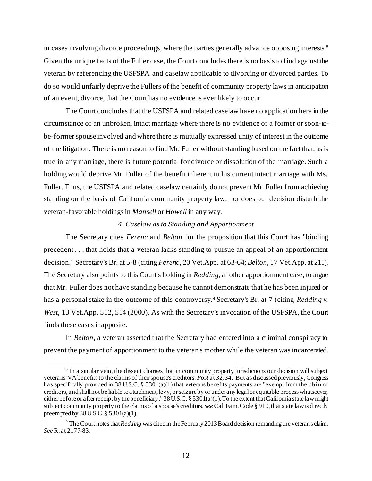in cases involving divorce proceedings, where the parties generally advance opposing interests.<sup>8</sup> Given the unique facts of the Fuller case, the Court concludes there is no basis to find against the veteran by referencing the USFSPA and caselaw applicable to divorcing or divorced parties. To do so would unfairly deprive the Fullers of the benefit of community property laws in anticipation of an event, divorce, that the Court has no evidence is ever likely to occur.

The Court concludes that the USFSPA and related caselaw have no application here in the circumstance of an unbroken, intact marriage where there is no evidence of a former or soon-tobe-former spouse involved and where there is mutually expressed unity of interest in the outcome of the litigation. There is no reason to find Mr. Fuller without standing based on the fact that, as is true in any marriage, there is future potential for divorce or dissolution of the marriage. Such a holding would deprive Mr. Fuller of the benefit inherent in his current intact marriage with Ms. Fuller. Thus, the USFSPA and related caselaw certainly do not prevent Mr. Fuller from achieving standing on the basis of California community property law, nor does our decision disturb the veteran-favorable holdings in *Mansell* or *Howell* in any way.

### *4. Caselaw as to Standing and Apportionment*

The Secretary cites *Ferenc* and *Belton* for the proposition that this Court has "binding precedent . . . that holds that a veteran lacks standing to pursue an appeal of an apportionment decision." Secretary's Br. at 5-8 (citing *Ferenc*, 20 Vet.App. at 63-64; *Belton*, 17 Vet.App. at 211). The Secretary also points to this Court's holding in *Redding*, another apportionment case, to argue that Mr. Fuller does not have standing because he cannot demonstrate that he has been injured or has a personal stake in the outcome of this controversy.<sup>9</sup> Secretary's Br. at 7 (citing *Redding v. West*, 13 Vet.App. 512, 514 (2000). As with the Secretary's invocation of the USFSPA, the Court finds these cases inapposite.

In *Belton*, a veteran asserted that the Secretary had entered into a criminal conspiracy to prevent the payment of apportionment to the veteran's mother while the veteran was incarcerated.

<sup>&</sup>lt;sup>8</sup> In a similar vein, the dissent charges that in community property jurisdictions our decision will subject veterans' VA benefits to the claims of their spouse's creditors. *Post* at 32, 34. But as discussed previously, Congress has specifically provided in 38 U.S.C. § 5301(a)(1) that veterans benefits payments are "exempt from the claim of creditors, and shall not be liable to attachment, levy, or seizure by or under any legal or equitable process whatsoever, either before or after receipt by the beneficiary." 38 U.S.C. § 5301(a)(1). To the extent that California state law might subject community property to the claims of a spouse's creditors, *see* Cal. Fam. Code § 910, that state law is directly preempted by 38U.S.C. § 5301(a)(1).

<sup>&</sup>lt;sup>9</sup> The Court notes that *Redding* was cited in the February 2013 Board decision remanding the veteran's claim. *See* R. at 2177-83.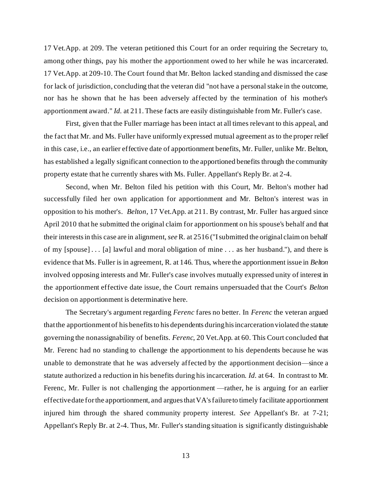17 Vet.App. at 209. The veteran petitioned this Court for an order requiring the Secretary to, among other things, pay his mother the apportionment owed to her while he was incarcerated. 17 Vet.App. at 209-10. The Court found that Mr. Belton lacked standing and dismissed the case for lack of jurisdiction, concluding that the veteran did "not have a personal stake in the outcome, nor has he shown that he has been adversely affected by the termination of his mother's apportionment award." *Id.* at 211. These facts are easily distinguishable from Mr. Fuller's case.

First, given that the Fuller marriage has been intact at all times relevant to this appeal, and the fact that Mr. and Ms. Fuller have uniformly expressed mutual agreement as to the proper relief in this case, i.e., an earlier effective date of apportionment benefits, Mr. Fuller, unlike Mr. Belton, has established a legally significant connection to the apportioned benefits through the community property estate that he currently shares with Ms. Fuller. Appellant's Reply Br. at 2-4.

Second, when Mr. Belton filed his petition with this Court, Mr. Belton's mother had successfully filed her own application for apportionment and Mr. Belton's interest was in opposition to his mother's. *Belton*, 17 Vet.App. at 211. By contrast, Mr. Fuller has argued since April 2010 that he submitted the original claim for apportionment on his spouse's behalf and that their interests in this case are in alignment,*see* R. at 2516 ("I submitted the original claim on behalf of my [spouse] . . . [a] lawful and moral obligation of mine . . . as her husband."), and there is evidence that Ms. Fuller is in agreement, R. at 146. Thus, where the apportionment issue in *Belton* involved opposing interests and Mr. Fuller's case involves mutually expressed unity of interest in the apportionment effective date issue, the Court remains unpersuaded that the Court's *Belton* decision on apportionment is determinative here.

The Secretary's argument regarding *Ferenc* fares no better. In *Ferenc* the veteran argued that the apportionment of his benefits to his dependents during his incarceration violated the statute governing the nonassignability of benefits. *Ferenc*, 20 Vet.App. at 60. This Court concluded that Mr. Ferenc had no standing to challenge the apportionment to his dependents because he was unable to demonstrate that he was adversely affected by the apportionment decision—since a statute authorized a reduction in his benefits during his incarceration. *Id.* at 64. In contrast to Mr. Ferenc, Mr. Fuller is not challenging the apportionment —rather, he is arguing for an earlier effective date for the apportionment, and argues that VA's failure to timely facilitate apportionment injured him through the shared community property interest. *See* Appellant's Br. at 7-21; Appellant's Reply Br. at 2-4. Thus, Mr. Fuller's standing situation is significantly distinguishable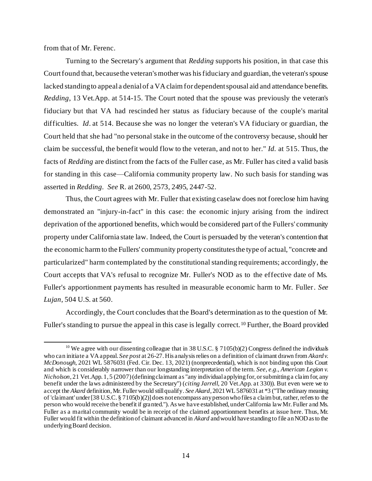from that of Mr. Ferenc.

Turning to the Secretary's argument that *Redding* supports his position, in that case this Court found that, because the veteran's mother was his fiduciary and guardian, the veteran's spouse lacked standing to appeal a denial of a VA claim for dependent spousal aid and attendance benefits. *Redding*, 13 Vet.App. at 514-15. The Court noted that the spouse was previously the veteran's fiduciary but that VA had rescinded her status as fiduciary because of the couple's marital difficulties. *Id*. at 514. Because she was no longer the veteran's VA fiduciary or guardian, the Court held that she had "no personal stake in the outcome of the controversy because, should her claim be successful, the benefit would flow to the veteran, and not to her." *Id.* at 515. Thus, the facts of *Redding* are distinct from the facts of the Fuller case, as Mr. Fuller has cited a valid basis for standing in this case—California community property law. No such basis for standing was asserted in *Redding. See* R. at 2600, 2573, 2495, 2447-52.

Thus, the Court agrees with Mr. Fuller that existing caselaw does not foreclose him having demonstrated an "injury-in-fact" in this case: the economic injury arising from the indirect deprivation of the apportioned benefits, which would be considered part of the Fullers' community property under California state law. Indeed, the Court is persuaded by the veteran's contention that the economic harm to the Fullers' community property constitutes the type of actual, "concrete and particularized" harm contemplated by the constitutional standing requirements; accordingly, the Court accepts that VA's refusal to recognize Mr. Fuller's NOD as to the effective date of Ms. Fuller's apportionment payments has resulted in measurable economic harm to Mr. Fuller. *See Lujan*, 504 U.S. at 560.

Accordingly, the Court concludes that the Board's determination as to the question of Mr. Fuller's standing to pursue the appeal in this case is legally correct. <sup>10</sup> Further, the Board provided

<sup>&</sup>lt;sup>10</sup> We agree with our dissenting colleague that in 38 U.S.C. § 7105(b)(2) Congress defined the individuals who can initiate a VA appeal. *See post* at 26-27. His analysis relies on a definition of claimant drawn from *Akard v. McDonough*, 2021 WL 5876031 (Fed. Cir. Dec. 13, 2021) (nonprecedential), which is not binding upon this Court and which is considerably narrower than our longstanding interpretation of the term. *See, e.g., American Legion v. Nicholson*, 21 Vet.App. 1, 5 (2007) (defining claimant as "any individual applying for, or submitting a claim for, any benefit under the laws administered by the Secretary") (*citing Jarrell*, 20 Vet.App. at 330)). But even were we to accept the *Akard* definition, Mr. Fuller would still qualify. *See Akard*, 2021 WL 5876031 at \*3 ("The ordinary meaning of 'claimant' under [38 U.S.C. § 7105(b)(2)] does not encompass any person who files a claim but, rather, refers to the person who would receive the benefit if granted."). As we have established, under California lawMr. Fuller and Ms. Fuller as a marital community would be in receipt of the claimed apportionment benefits at issue here. Thus, Mr. Fuller would fit within the definition of claimant advanced in *Akard* and would have standing to file an NOD as to the underlying Board decision.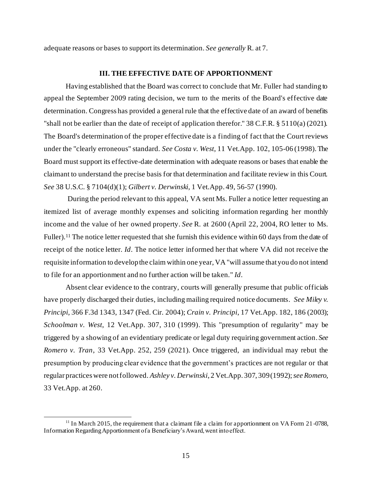adequate reasons or bases to support its determination. *See generally* R. at 7.

### **III. THE EFFECTIVE DATE OF APPORTIONMENT**

Having established that the Board was correct to conclude that Mr. Fuller had standing to appeal the September 2009 rating decision, we turn to the merits of the Board's effective date determination. Congress has provided a general rule that the effective date of an award of benefits "shall not be earlier than the date of receipt of application therefor." 38 C.F.R. § 5110(a) (2021). The Board's determination of the proper effective date is a finding of fact that the Court reviews under the "clearly erroneous" standard. *See Costa v. West*, 11 Vet.App. 102, 105-06 (1998). The Board must support its effective-date determination with adequate reasons or bases that enable the claimant to understand the precise basis for that determination and facilitate review in this Court. *See* 38 U.S.C. § 7104(d)(1); *Gilbert v. Derwinski*, 1 Vet.App. 49, 56-57 (1990).

During the period relevant to this appeal, VA sent Ms. Fuller a notice letter requesting an itemized list of average monthly expenses and soliciting information regarding her monthly income and the value of her owned property. *See* R. at 2600 (April 22, 2004, RO letter to Ms. Fuller).<sup>11</sup> The notice letter requested that she furnish this evidence within 60 days from the date of receipt of the notice letter. *Id*. The notice letter informed her that where VA did not receive the requisite information to develop the claim within one year, VA "will assume that you do not intend to file for an apportionment and no further action will be taken." *Id*.

Absent clear evidence to the contrary, courts will generally presume that public officials have properly discharged their duties, including mailing required notice documents. *See Miley v. Principi*, 366 F.3d 1343, 1347 (Fed. Cir. 2004); *Crain v. Principi*, 17 Vet.App. 182, 186 (2003); *Schoolman v. West*, 12 Vet.App. 307, 310 (1999). This "presumption of regularity" may be triggered by a showing of an evidentiary predicate or legal duty requiring government action. *See Romero v. Tran*, 33 Vet.App. 252, 259 (2021). Once triggered, an individual may rebut the presumption by producing clear evidence that the government's practices are not regular or that regular practices were not followed. *Ashley v. Derwinski*, 2 Vet.App. 307, 309 (1992); *see Romero*, 33 Vet.App. at 260.

 $11$  In March 2015, the requirement that a claimant file a claim for apportionment on VA Form 21-0788. Information Regarding Apportionment of a Beneficiary's Award, went into effect.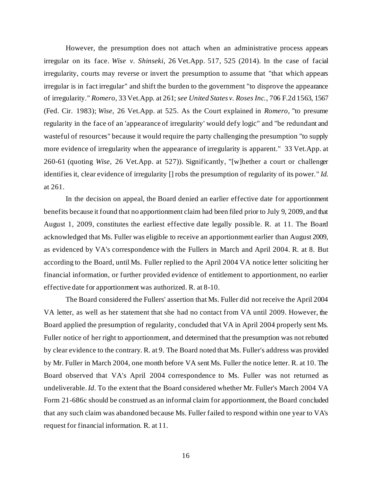However, the presumption does not attach when an administrative process appears irregular on its face. *Wise v. Shinseki*, 26 Vet.App. 517, 525 (2014). In the case of facial irregularity, courts may reverse or invert the presumption to assume that "that which appears irregular is in fact irregular" and shift the burden to the government "to disprove the appearance of irregularity." *Romero*, 33 Vet.App. at 261; *see United States v. Roses Inc.*, 706 F.2d 1563, 1567 (Fed. Cir. 1983); *Wise*, 26 Vet.App. at 525. As the Court explained in *Romero*, "to presume regularity in the face of an 'appearance of irregularity' would defy logic" and "be redundant and wasteful of resources" because it would require the party challenging the presumption "to supply more evidence of irregularity when the appearance of irregularity is apparent." 33 Vet.App. at 260-61 (quoting *Wise*, 26 Vet.App. at 527)). Significantly, "[w]hether a court or challenger identifies it, clear evidence of irregularity [] robs the presumption of regularity of its power." *Id*. at 261.

In the decision on appeal, the Board denied an earlier effective date for apportionment benefits because it found that no apportionment claim had been filed prior to July 9, 2009, and that August 1, 2009, constitutes the earliest effective date legally possible. R. at 11. The Board acknowledged that Ms. Fuller was eligible to receive an apportionment earlier than August 2009, as evidenced by VA's correspondence with the Fullers in March and April 2004. R. at 8. But according to the Board, until Ms. Fuller replied to the April 2004 VA notice letter soliciting her financial information, or further provided evidence of entitlement to apportionment, no earlier effective date for apportionment was authorized. R. at 8-10.

The Board considered the Fullers' assertion that Ms. Fuller did not receive the April 2004 VA letter, as well as her statement that she had no contact from VA until 2009. However, the Board applied the presumption of regularity, concluded that VA in April 2004 properly sent Ms. Fuller notice of her right to apportionment, and determined that the presumption was not rebutted by clear evidence to the contrary. R. at 9. The Board noted that Ms. Fuller's address was provided by Mr. Fuller in March 2004, one month before VA sent Ms. Fuller the notice letter. R. at 10. The Board observed that VA's April 2004 correspondence to Ms. Fuller was not returned as undeliverable.*Id.* To the extent that the Board considered whether Mr. Fuller's March 2004 VA Form 21-686c should be construed as an informal claim for apportionment, the Board concluded that any such claim was abandoned because Ms. Fuller failed to respond within one year to VA's request for financial information. R. at 11.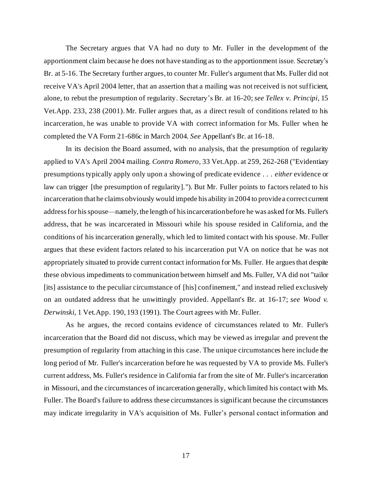The Secretary argues that VA had no duty to Mr. Fuller in the development of the apportionment claim because he does not have standing as to the apportionment issue. Secretary's Br. at 5-16. The Secretary further argues, to counter Mr. Fuller's argument that Ms. Fuller did not receive VA's April 2004 letter, that an assertion that a mailing was not received is not sufficient, alone, to rebut the presumption of regularity. Secretary's Br. at 16-20; *see Tellex v. Principi*, 15 Vet.App. 233, 238 (2001). Mr. Fuller argues that, as a direct result of conditions related to his incarceration, he was unable to provide VA with correct information for Ms. Fuller when he completed the VA Form 21-686c in March 2004. *See* Appellant's Br. at 16-18.

In its decision the Board assumed, with no analysis, that the presumption of regularity applied to VA's April 2004 mailing. *Contra Romero*, 33 Vet.App. at 259, 262-268 ("Evidentiary presumptions typically apply only upon a showing of predicate evidence . . . *either* evidence or law can trigger [the presumption of regularity]."). But Mr. Fuller points to factors related to his incarceration that he claims obviously would impede his ability in 2004 to provide a correct current address for his spouse—namely, the length of his incarceration before he was asked forMs. Fuller's address, that he was incarcerated in Missouri while his spouse resided in California, and the conditions of his incarceration generally, which led to limited contact with his spouse. Mr. Fuller argues that these evident factors related to his incarceration put VA on notice that he was not appropriately situated to provide current contact information for Ms. Fuller. He argues that despite these obvious impediments to communication between himself and Ms. Fuller, VA did not "tailor [its] assistance to the peculiar circumstance of [his] confinement," and instead relied exclusively on an outdated address that he unwittingly provided. Appellant's Br. at 16-17; *see Wood v. Derwinski*, 1 Vet.App. 190, 193 (1991). The Court agrees with Mr. Fuller.

As he argues, the record contains evidence of circumstances related to Mr. Fuller's incarceration that the Board did not discuss, which may be viewed as irregular and prevent the presumption of regularity from attaching in this case. The unique circumstances here include the long period of Mr. Fuller's incarceration before he was requested by VA to provide Ms. Fuller's current address, Ms. Fuller's residence in California far from the site of Mr. Fuller's incarceration in Missouri, and the circumstances of incarceration generally, which limited his contact with Ms. Fuller. The Board's failure to address these circumstances is significant because the circumstances may indicate irregularity in VA's acquisition of Ms. Fuller's personal contact information and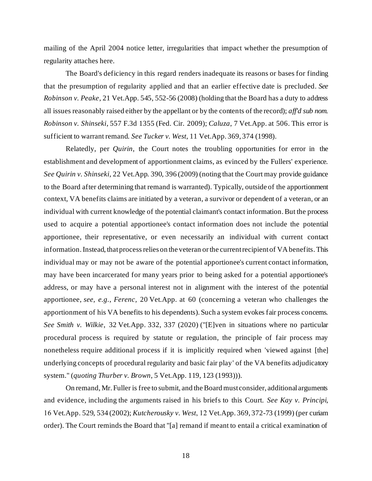mailing of the April 2004 notice letter, irregularities that impact whether the presumption of regularity attaches here.

The Board's deficiency in this regard renders inadequate its reasons or bases for finding that the presumption of regularity applied and that an earlier effective date is precluded. *See Robinson v. Peake*, 21 Vet.App. 545, 552-56 (2008) (holding that the Board has a duty to address all issues reasonably raised either by the appellant or by the contents of the record); *aff'd sub nom. Robinson v. Shinseki*, 557 F.3d 1355 (Fed. Cir. 2009); *Caluza*, 7 Vet.App. at 506. This error is sufficient to warrant remand. *See Tucker v. West*, 11 Vet.App. 369, 374 (1998).

Relatedly, per *Quirin*, the Court notes the troubling opportunities for error in the establishment and development of apportionment claims, as evinced by the Fullers' experience. *See Quirin v. Shinseki*, 22 Vet.App. 390, 396 (2009) (noting that the Court may provide guidance to the Board after determining that remand is warranted). Typically, outside of the apportionment context, VA benefits claims are initiated by a veteran, a survivor or dependent of a veteran, or an individual with current knowledge of the potential claimant's contact information. But the process used to acquire a potential apportionee's contact information does not include the potential apportionee, their representative, or even necessarily an individual with current contact information. Instead, that process relies on the veteran or the current recipient of VA benefits. This individual may or may not be aware of the potential apportionee's current contact information, may have been incarcerated for many years prior to being asked for a potential apportionee's address, or may have a personal interest not in alignment with the interest of the potential apportionee, *see, e.g.*, *Ferenc,* 20 Vet.App. at 60 (concerning a veteran who challenges the apportionment of his VA benefits to his dependents). Such a system evokes fair process concerns. *See Smith v. Wilkie*, 32 Vet.App. 332, 337 (2020) ("[E]ven in situations where no particular procedural process is required by statute or regulation, the principle of fair process may nonetheless require additional process if it is implicitly required when 'viewed against [the] underlying concepts of procedural regularity and basic fair play' of the VA benefits adjudicatory system." (*quoting Thurber v. Brown*, 5 Vet.App. 119, 123 (1993))).

On remand, Mr. Fuller is free to submit, and the Board must consider, additional arguments and evidence, including the arguments raised in his briefs to this Court. *See Kay v. Principi*, 16 Vet.App. 529, 534 (2002); *Kutcherousky v. West*, 12 Vet.App. 369, 372-73 (1999) (per curiam order). The Court reminds the Board that "[a] remand if meant to entail a critical examination of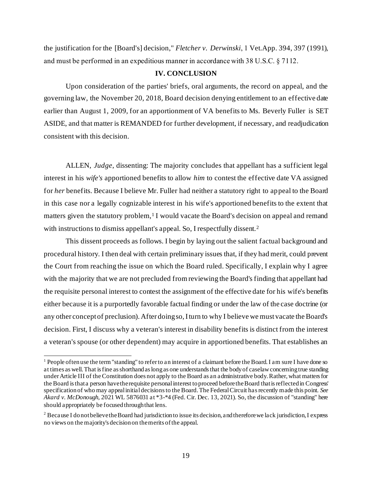the justification for the [Board's] decision," *Fletcher v. Derwinski*, 1 Vet.App. 394, 397 (1991), and must be performed in an expeditious manner in accordance with 38 U.S.C. § 7112.

## **IV. CONCLUSION**

Upon consideration of the parties' briefs, oral arguments, the record on appeal, and the governing law, the November 20, 2018, Board decision denying entitlement to an effective date earlier than August 1, 2009, for an apportionment of VA benefits to Ms. Beverly Fuller is SET ASIDE, and that matter is REMANDED for further development, if necessary, and readjudication consistent with this decision.

ALLEN, *Judge*, dissenting: The majority concludes that appellant has a sufficient legal interest in his *wife's* apportioned benefits to allow *him* to contest the effective date VA assigned for *her* benefits. Because I believe Mr. Fuller had neither a statutory right to appeal to the Board in this case nor a legally cognizable interest in his wife's apportioned benefits to the extent that matters given the statutory problem,<sup>1</sup> I would vacate the Board's decision on appeal and remand with instructions to dismiss appellant's appeal. So, I respectfully dissent.<sup>2</sup>

This dissent proceeds as follows. I begin by laying out the salient factual background and procedural history. I then deal with certain preliminary issues that, if they had merit, could prevent the Court from reaching the issue on which the Board ruled. Specifically, I explain why I agree with the majority that we are not precluded from reviewing the Board's finding that appellant had the requisite personal interest to contest the assignment of the effective date for his wife's benefits either because it is a purportedly favorable factual finding or under the law of the case doctrine (or any other concept of preclusion). After doing so, I turn to why I believe we must vacate the Board's decision. First, I discuss why a veteran's interest in disability benefits is distinct from the interest a veteran's spouse (or other dependent) may acquire in apportioned benefits. That establishes an

 $<sup>1</sup>$  People often use the term "standing" to refer to an interest of a claimant before the Board. I am sure I have done so</sup> at times as well. That is fine as shorthand as long as one understands that the body of caselaw concerning true standing under Article III of the Constitution does not apply to the Board as an administrative body. Rather, what matters for the Board is that a person have the requisite personal interest to proceed before the Board that is reflected in Congress' specification of who may appeal initial decisions to the Board. The Federal Circuit has recently made this point. *See Akard v. McDonough*, 2021 WL 5876031 at \*3-\*4 (Fed. Cir. Dec. 13, 2021). So, the discussion of "standing" here should appropriately be focused through that lens.

<sup>&</sup>lt;sup>2</sup> Because I do not believe the Board had jurisdiction to issue its decision, and therefore we lack jurisdiction, I express no views on the majority's decision on the merits of the appeal.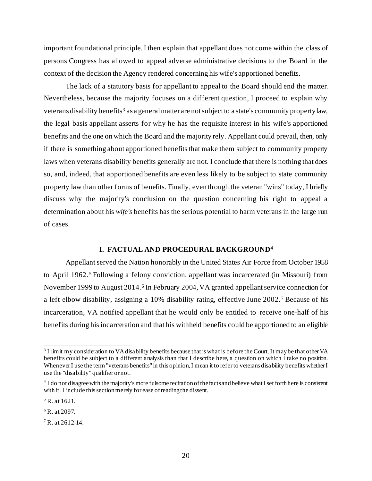important foundational principle. I then explain that appellant does not come within the class of persons Congress has allowed to appeal adverse administrative decisions to the Board in the context of the decision the Agency rendered concerning his wife's apportioned benefits.

The lack of a statutory basis for appellant to appeal to the Board should end the matter. Nevertheless, because the majority focuses on a different question, I proceed to explain why veterans disability benefits<sup>3</sup> as a general matter are not subject to a state's community property law, the legal basis appellant asserts for why he has the requisite interest in his wife's apportioned benefits and the one on which the Board and the majority rely. Appellant could prevail, then, only if there is something about apportioned benefits that make them subject to community property laws when veterans disability benefits generally are not. I conclude that there is nothing that does so, and, indeed, that apportioned benefits are even less likely to be subject to state community property law than other forms of benefits. Finally, even though the veteran "wins" today, I briefly discuss why the majority's conclusion on the question concerning his right to appeal a determination about his *wife's* benefits has the serious potential to harm veterans in the large run of cases.

### **I. FACTUAL AND PROCEDURAL BACKGROUND<sup>4</sup>**

Appellant served the Nation honorably in the United States Air Force from October 1958 to April 1962. <sup>5</sup> Following a felony conviction, appellant was incarcerated (in Missouri) from November 1999 to August 2014.<sup>6</sup> In February 2004, VA granted appellant service connection for a left elbow disability, assigning a 10% disability rating, effective June 2002. <sup>7</sup> Because of his incarceration, VA notified appellant that he would only be entitled to receive one-half of his benefits during his incarceration and that his withheld benefits could be apportioned to an eligible

 $3$  I limit my consideration to VA disability benefits because that is what is before the Court. It may be that other VA benefits could be subject to a different analysis than that I describe here, a question on which I take no position. Whenever I use the term "veterans benefits" in this opinion, I mean it to refer to veterans disability benefits whether I use the "disability" qualifier or not.

<sup>&</sup>lt;sup>4</sup> I do not disagree with the majority's more fulsome recitation of the facts and believe what I set forth here is consistent with it. I include this section merely for ease of reading the dissent.

 $5$  R. at 1621.

 $6$  R. at 2097.

 $7 R. at 2612 - 14.$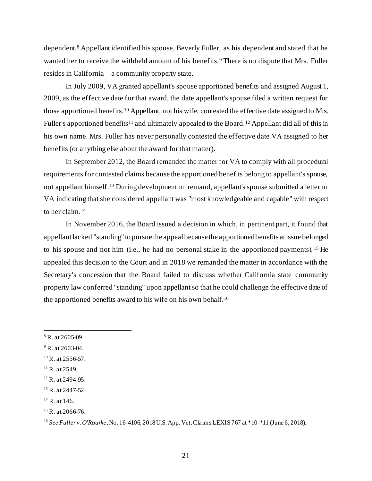dependent.<sup>8</sup> Appellant identified his spouse, Beverly Fuller, as his dependent and stated that he wanted her to receive the withheld amount of his benefits. <sup>9</sup> There is no dispute that Mrs. Fuller resides in California—a community property state.

In July 2009, VA granted appellant's spouse apportioned benefits and assigned August 1, 2009, as the effective date for that award, the date appellant's spouse filed a written request for those apportioned benefits.<sup>10</sup> Appellant, not his wife, contested the effective date assigned to Mrs. Fuller's apportioned benefits<sup>11</sup> and ultimately appealed to the Board.<sup>12</sup> Appellant did all of this in his own name. Mrs. Fuller has never personally contested the effective date VA assigned to her benefits (or anything else about the award for that matter).

In September 2012, the Board remanded the matter for VA to comply with all procedural requirements for contested claims because the apportioned benefits belong to appellant's spouse, not appellant himself.<sup>13</sup> During development on remand, appellant's spouse submitted a letter to VA indicating that she considered appellant was "most knowledgeable and capable" with respect to her claim. 14

In November 2016, the Board issued a decision in which, in pertinent part, it found that appellant lacked "standing" to pursue the appeal because the apportioned benefits at issue belonged to his spouse and not him (i.e., he had no personal stake in the apportioned payments). <sup>15</sup> He appealed this decision to the Court and in 2018 we remanded the matter in accordance with the Secretary's concession that the Board failed to discuss whether California state community property law conferred "standing" upon appellant so that he could challenge the effective date of the apportioned benefits award to his wife on his own behalf. 16

 $9$  R. at 2603-04.

 $8 R. at 2605-09.$ 

 $10$  R. at 2556-57.

 $^{11}$  R. at 2549.

 $12$  R. at 2494-95.

<sup>&</sup>lt;sup>13</sup> R. at 2447-52.

 $14$  R. at 146.

 $15$  R. at 2066-76.

<sup>16</sup> *See Fuller v. O'Rourke*, No. 16-4106, 2018 U.S. App. Vet. Claims LEXIS 767 at \*10-\*11 (June 6, 2018).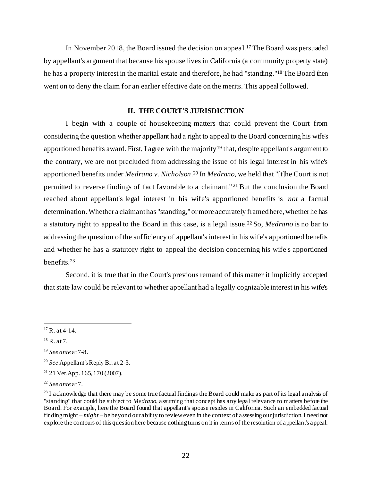In November 2018, the Board issued the decision on appeal.<sup>17</sup> The Board was persuaded by appellant's argument that because his spouse lives in California (a community property state) he has a property interest in the marital estate and therefore, he had "standing." <sup>18</sup> The Board then went on to deny the claim for an earlier effective date on the merits. This appeal followed.

## **II. THE COURT'S JURISDICTION**

I begin with a couple of housekeeping matters that could prevent the Court from considering the question whether appellant had a right to appeal to the Board concerning his wife's apportioned benefits award. First, I agree with the majority<sup>19</sup> that, despite appellant's argument to the contrary, we are not precluded from addressing the issue of his legal interest in his wife's apportioned benefits under *Medrano v. Nicholson*. <sup>20</sup> In *Medrano*, we held that "[t]he Court is not permitted to reverse findings of fact favorable to a claimant." <sup>21</sup> But the conclusion the Board reached about appellant's legal interest in his wife's apportioned benefits is *not* a factual determination. Whether a claimant has "standing," or more accurately framed here, whether he has a statutory right to appeal to the Board in this case, is a legal issue.<sup>22</sup> So, *Medrano* is no bar to addressing the question of the sufficiency of appellant's interest in his wife's apportioned benefits and whether he has a statutory right to appeal the decision concerning his wife's apportioned benefits.<sup>23</sup>

Second, it is true that in the Court's previous remand of this matter it implicitly accepted that state law could be relevant to whether appellant had a legally cognizable interest in his wife's

 $17 R. at 4-14.$ 

 $18$  R. at 7.

<sup>19</sup> *See ante* at 7-8.

<sup>20</sup> *See* Appellant's Reply Br. at 2-3.

 $21$  21 Vet.App. 165, 170 (2007).

<sup>22</sup> *See ante* at 7.

 $^{23}$  I acknowledge that there may be some true factual findings the Board could make as part of its legal analysis of "standing" that could be subject to *Medrano*, assuming that concept has any legal relevance to matters before the Board. For example, here the Board found that appellant's spouse resides in California. Such an embedded factual finding might – *might* – be beyond our ability to review even in the context of assessing our jurisdiction. I need not explore the contours of this question here because nothing turns on it in terms of the resolution of appellant's appeal.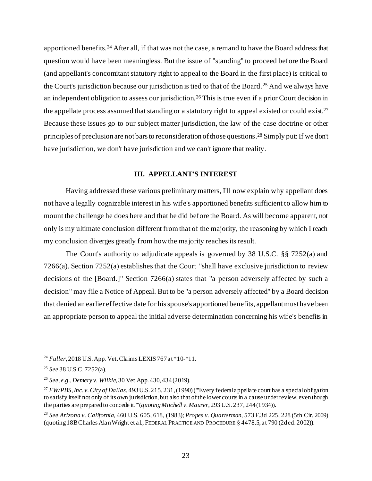apportioned benefits.<sup>24</sup> After all, if that was not the case, a remand to have the Board address that question would have been meaningless. But the issue of "standing" to proceed before the Board (and appellant's concomitant statutory right to appeal to the Board in the first place) is critical to the Court's jurisdiction because our jurisdiction is tied to that of the Board.<sup>25</sup> And we always have an independent obligation to assess our jurisdiction.<sup>26</sup> This is true even if a prior Court decision in the appellate process assumed that standing or a statutory right to appeal existed or could exist.<sup>27</sup> Because these issues go to our subject matter jurisdiction, the law of the case doctrine or other principles of preclusion are not bars to reconsideration of those questions. <sup>28</sup> Simply put: If we don't have jurisdiction, we don't have jurisdiction and we can't ignore that reality.

## **III. APPELLANT'S INTEREST**

Having addressed these various preliminary matters, I'll now explain why appellant does not have a legally cognizable interest in his wife's apportioned benefits sufficient to allow him to mount the challenge he does here and that he did before the Board. As will become apparent, not only is my ultimate conclusion different from that of the majority, the reasoning by which I reach my conclusion diverges greatly from how the majority reaches its result.

The Court's authority to adjudicate appeals is governed by 38 U.S.C. §§ 7252(a) and 7266(a). Section 7252(a) establishes that the Court "shall have exclusive jurisdiction to review decisions of the [Board.]" Section 7266(a) states that "a person adversely affected by such a decision" may file a Notice of Appeal. But to be "a person adversely affected" by a Board decision that denied an earlier effective date for hisspouse's apportioned benefits, appellant must have been an appropriate person to appeal the initial adverse determination concerning his wife's benefits in

<sup>24</sup> *Fuller*, 2018 U.S. App. Vet. Claims LEXIS 767 at \*10-\*11.

<sup>25</sup> *See* 38 U.S.C. 7252(a).

<sup>26</sup> *See, e.g., Demery v. Wilkie*, 30 Vet.App. 430, 434 (2019).

<sup>27</sup> *FW/PBS, Inc. v. City of Dallas*, 493 U.S. 215, 231, (1990) ("'Every federal appellate court has a special obligation to satisfy itself not only of its own jurisdiction, but also that of the lower courts in a cause under review, even though the parties are prepared to concede it.'"(*quoting Mitchell v. Maurer*, 293 U.S. 237, 244 (1934)).

<sup>28</sup> *See Arizona v. California*, 460 U.S. 605, 618, (1983); *Propes v. Quarterman*, 573 F.3d 225, 228 (5th Cir. 2009) (quoting 18B Charles Alan Wright et al., FEDERAL PRACTICE AND PROCEDURE § 4478.5, at 790 (2d ed. 2002)).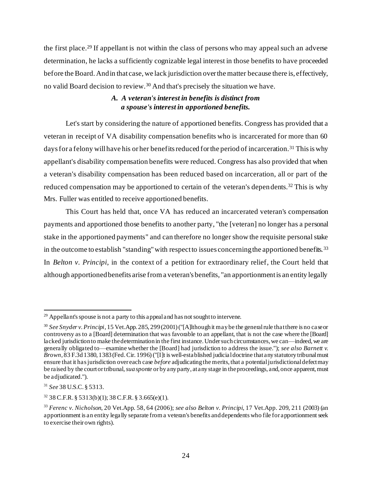the first place. <sup>29</sup> If appellant is not within the class of persons who may appeal such an adverse determination, he lacks a sufficiently cognizable legal interest in those benefits to have proceeded before the Board. And in that case, we lack jurisdiction over the matter because there is, effectively, no valid Board decision to review.<sup>30</sup> And that's precisely the situation we have.

# *A. A veteran's interest in benefits is distinct from a spouse's interest in apportioned benefits.*

Let's start by considering the nature of apportioned benefits. Congress has provided that a veteran in receipt of VA disability compensation benefits who is incarcerated for more than 60 days for a felony will have his or her benefits reduced for the period of incarceration.<sup>31</sup> This is why appellant's disability compensation benefits were reduced. Congress has also provided that when a veteran's disability compensation has been reduced based on incarceration, all or part of the reduced compensation may be apportioned to certain of the veteran's dependents.<sup>32</sup> This is why Mrs. Fuller was entitled to receive apportioned benefits.

This Court has held that, once VA has reduced an incarcerated veteran's compensation payments and apportioned those benefits to another party, "the [veteran] no longer has a personal stake in the apportioned payments" and can therefore no longer show the requisite personal stake in the outcome to establish "standing" with respect to issues concerning the apportioned benefits.<sup>33</sup> In *Belton v. Principi*, in the context of a petition for extraordinary relief, the Court held that although apportioned benefits arise from a veteran's benefits, "an apportionment is an entity legally

 $29$  Appellant's spouse is not a party to this appeal and has not sought to intervene.

<sup>30</sup> *See Snyder v. Principi*, 15 Vet.App. 285, 299 (2001) ("[A]lthough it may be the general rule that there is no case or controversy as to a [Board] determination that was favorable to an appellant, that is not the case where the [Board] lacked jurisdiction to make the determination in the first instance. Under such circumstances, we can—indeed, we are generally obligated to—examine whether the [Board] had jurisdiction to address the issue."); *see also Barnett v. Brown*, 83 F.3d 1380, 1383 (Fed. Cir. 1996)("[I]t is well-established judicial doctrine that any statutory tribunal must ensure that it has jurisdiction over each case *before* adjudicating the merits, that a potential jurisdictional defect may be raised by the court or tribunal, *sua sponte* or by any party, at any stage in the proceedings, and, once apparent, must be adjudicated.").

<sup>31</sup> *See* 38 U.S.C. § 5313.

 $32$  38 C.F.R. § 5313(b)(1); 38 C.F.R. § 3.665(e)(1).

<sup>33</sup> *Ferenc v. Nicholson*, 20 Vet.App. 58, 64 (2006); *see also Belton v. Principi*, 17 Vet.App. 209, 211 (2003) (an apportionment is an entity legally separate from a veteran's benefits and dependents who file for apportionment seek to exercise their own rights).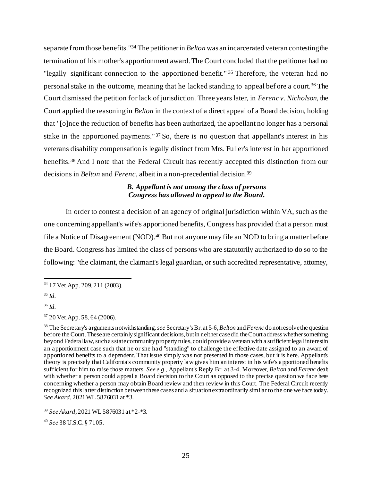separate from those benefits."<sup>34</sup> The petitioner in *Belton* was an incarcerated veteran contesting the termination of his mother's apportionment award. The Court concluded that the petitioner had no "legally significant connection to the apportioned benefit." <sup>35</sup> Therefore, the veteran had no personal stake in the outcome, meaning that he lacked standing to appeal bef ore a court.<sup>36</sup> The Court dismissed the petition for lack of jurisdiction. Three years later, in *Ferenc v. Nicholson*, the Court applied the reasoning in *Belton* in the context of a direct appeal of a Board decision, holding that "[o]nce the reduction of benefits has been authorized, the appellant no longer has a personal stake in the apportioned payments." <sup>37</sup> So, there is no question that appellant's interest in his veterans disability compensation is legally distinct from Mrs. Fuller's interest in her apportioned benefits. <sup>38</sup> And I note that the Federal Circuit has recently accepted this distinction from our decisions in *Belton* and *Ferenc*, albeit in a non-precedential decision.<sup>39</sup>

## *B. Appellant is not among the class of persons Congress has allowed to appeal to the Board.*

In order to contest a decision of an agency of original jurisdiction within VA, such as the one concerning appellant's wife's apportioned benefits, Congress has provided that a person must file a Notice of Disagreement (NOD).<sup>40</sup> But not anyone may file an NOD to bring a matter before the Board. Congress has limited the class of persons who are statutorily authorized to do so to the following: "the claimant, the claimant's legal guardian, or such accredited representative, attorney,

<sup>40</sup> *See* 38 U.S.C. § 7105.

<sup>34</sup> 17 Vet.App. 209, 211 (2003).

<sup>35</sup> *Id.*

<sup>36</sup> *Id.*

<sup>37</sup> 20 Vet.App. 58, 64 (2006).

<sup>38</sup> The Secretary's arguments notwithstanding, *see* Secretary's Br. at 5-6, *Belton* and *Ferenc* do not resolve the question before the Court. These are certainly significant decisions, but in neither case did the Court address whether something beyond Federal law, such as state community property rules, could provide a veteran with a sufficient legal interest in an apportionment case such that he or she had "standing" to challenge the effective date assigned to an award of apportioned benefits to a dependent. That issue simply was not presented in those cases, but it is here. Appellant's theory is precisely that California's community property law gives him an interest in his wife's apportioned benefits sufficient for him to raise those matters. *See e.g.,* Appellant's Reply Br. at 3-4. Moreover, *Belton* and *Ferenc* dealt with whether a person could appeal a Board decision to the Court as opposed to the precise question we face here concerning whether a person may obtain Board review and then review in this Court. The Federal Circuit recently recognized this latter distinction between these cases and a situation extraordinarily similar to the one we face today. *See Akard*, 2021 WL 5876031 at \*3.

<sup>39</sup> *See Akard*, 2021 WL 5876031 at \*2-\*3.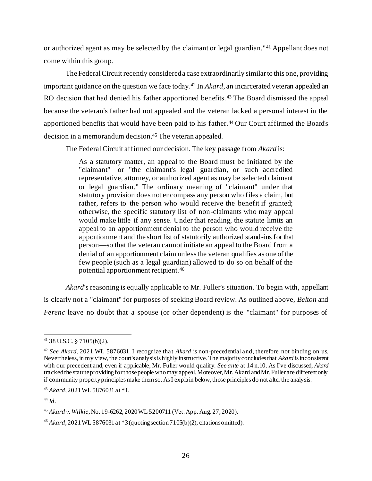or authorized agent as may be selected by the claimant or legal guardian."<sup>41</sup> Appellant does not come within this group.

The Federal Circuit recently considered a case extraordinarily similar to this one, providing important guidance on the question we face today.<sup>42</sup> In *Akard*, an incarcerated veteran appealed an RO decision that had denied his father apportioned benefits.<sup>43</sup> The Board dismissed the appeal because the veteran's father had not appealed and the veteran lacked a personal interest in the apportioned benefits that would have been paid to his father.<sup>44</sup> Our Court affirmed the Board's decision in a memorandum decision.<sup>45</sup> The veteran appealed.

The Federal Circuit affirmed our decision. The key passage from *Akard* is:

As a statutory matter, an appeal to the Board must be initiated by the "claimant"—or "the claimant's legal guardian, or such accredited representative, attorney, or authorized agent as may be selected claimant or legal guardian." The ordinary meaning of "claimant" under that statutory provision does not encompass any person who files a claim, but rather, refers to the person who would receive the benefit if granted; otherwise, the specific statutory list of non-claimants who may appeal would make little if any sense. Under that reading, the statute limits an appeal to an apportionment denial to the person who would receive the apportionment and the short list of statutorily authorized stand-ins for that person—so that the veteran cannot initiate an appeal to the Board from a denial of an apportionment claim unless the veteran qualifies as one of the few people (such as a legal guardian) allowed to do so on behalf of the potential apportionment recipient.<sup>46</sup>

*Akard*'s reasoning is equally applicable to Mr. Fuller's situation. To begin with, appellant is clearly not a "claimant" for purposes of seeking Board review. As outlined above, *Belton* and *Ferenc* leave no doubt that a spouse (or other dependent) is the "claimant" for purposes of

<sup>41</sup> 38 U.S.C. § 7105(b)(2).

<sup>42</sup> *See Akard*, 2021 WL 5876031. I recognize that *Akard* is non-precedential and, therefore, not binding on us. Nevertheless, in my view, the court's analysis is highly instructive. The majority concludes that *Akard* is inconsistent with our precedent and, even if applicable, Mr. Fuller would qualify. *See ante* at 14 n.10. As I've discussed, *Akard* tracked the statute providing for those people who may appeal. Moreover, Mr. Akard and Mr. Fuller are different only if community property principles make them so. As I explain below, those principles do not alter the analysis.

<sup>43</sup> *Akard*, 2021 WL 5876031 at \*1.

<sup>44</sup> *Id*.

<sup>45</sup> *Akard v. Wilkie*, No. 19-6262, 2020 WL 5200711 (Vet. App. Aug. 27, 2020).

<sup>46</sup> *Akard*, 2021 WL 5876031 at \*3 (quoting section 7105(b)(2); citations omitted).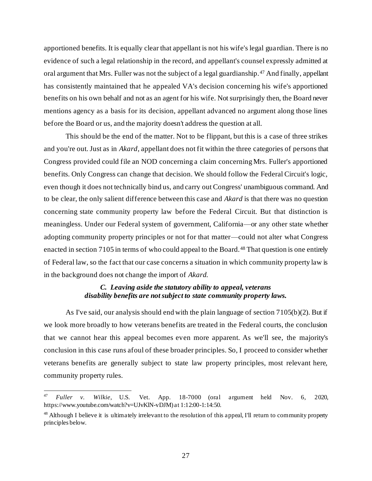apportioned benefits. It is equally clear that appellant is not his wife's legal guardian. There is no evidence of such a legal relationship in the record, and appellant's counsel expressly admitted at oral argument that Mrs. Fuller was not the subject of a legal guardianship.<sup>47</sup> And finally, appellant has consistently maintained that he appealed VA's decision concerning his wife's apportioned benefits on his own behalf and not as an agent for his wife. Not surprisingly then, the Board never mentions agency as a basis for its decision, appellant advanced no argument along those lines before the Board or us, and the majority doesn't address the question at all.

This should be the end of the matter. Not to be flippant, but this is a case of three strikes and you're out. Just as in *Akard*, appellant does not fit within the three categories of persons that Congress provided could file an NOD concerning a claim concerning Mrs. Fuller's apportioned benefits. Only Congress can change that decision. We should follow the Federal Circuit's logic, even though it does not technically bind us, and carry out Congress' unambiguous command. And to be clear, the only salient difference between this case and *Akard* is that there was no question concerning state community property law before the Federal Circuit. But that distinction is meaningless. Under our Federal system of government, California—or any other state whether adopting community property principles or not for that matter—could not alter what Congress enacted in section 7105 in terms of who could appeal to the Board.<sup>48</sup> That question is one entirely of Federal law, so the fact that our case concerns a situation in which community property law is in the background does not change the import of *Akard*.

# *C. Leaving aside the statutory ability to appeal, veterans disability benefits are not subject to state community property laws.*

As I've said, our analysis should end with the plain language of section 7105(b)(2). But if we look more broadly to how veterans benefits are treated in the Federal courts, the conclusion that we cannot hear this appeal becomes even more apparent. As we'll see, the majority's conclusion in this case runs afoul of these broader principles. So, I proceed to consider whether veterans benefits are generally subject to state law property principles, most relevant here, community property rules.

<sup>47</sup> *Fuller v. Wilkie*, U.S. Vet. App. 18-7000 (oral argument held Nov. 6, 2020, https://www.youtube.com/watch?v=UJvKlN-vDJM) at 1:12:00-1:14:50.

<sup>&</sup>lt;sup>48</sup> Although I believe it is ultimately irrelevant to the resolution of this appeal, I'll return to community property principles below.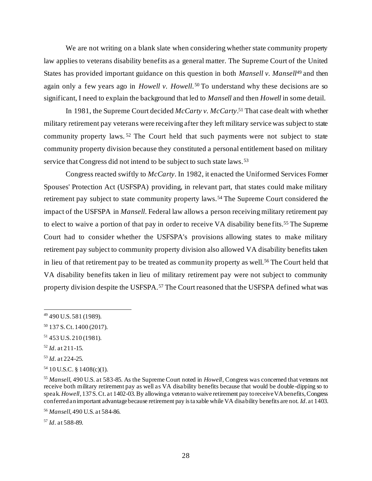We are not writing on a blank slate when considering whether state community property law applies to veterans disability benefits as a general matter. The Supreme Court of the United States has provided important guidance on this question in both *Mansell v. Mansell*<sup>49</sup> and then again only a few years ago in *Howell v. Howell*. <sup>50</sup> To understand why these decisions are so significant, I need to explain the background that led to *Mansell* and then *Howell* in some detail.

In 1981, the Supreme Court decided *McCarty v. McCarty*. <sup>51</sup> That case dealt with whether military retirement pay veterans were receiving after they left military service was subject to state community property laws. <sup>52</sup> The Court held that such payments were not subject to state community property division because they constituted a personal entitlement based on military service that Congress did not intend to be subject to such state laws.<sup>53</sup>

Congress reacted swiftly to *McCarty*. In 1982, it enacted the Uniformed Services Former Spouses' Protection Act (USFSPA) providing, in relevant part, that states could make military retirement pay subject to state community property laws.<sup>54</sup> The Supreme Court considered the impact of the USFSPA in *Mansell*. Federal law allows a person receiving military retirement pay to elect to waive a portion of that pay in order to receive VA disability benefits.<sup>55</sup> The Supreme Court had to consider whether the USFSPA's provisions allowing states to make military retirement pay subject to community property division also allowed VA disability benefits taken in lieu of that retirement pay to be treated as community property as well.<sup>56</sup> The Court held that VA disability benefits taken in lieu of military retirement pay were not subject to community property division despite the USFSPA.<sup>57</sup> The Court reasoned that the USFSPA defined what was

- <sup>52</sup> *Id*. at 211-15.
- <sup>53</sup> *Id*. at 224-25.

<sup>57</sup> *Id*. at 588-89.

<sup>49</sup> 490 U.S. 581 (1989).

<sup>50</sup> 137 S. Ct. 1400 (2017).

<sup>51</sup> 453 U.S. 210 (1981).

 $54$  10 U.S.C. § 1408(c)(1).

<sup>55</sup> *Mansell*, 490 U.S. at 583-85. As the Supreme Court noted in *Howell*, Congress was concerned that veterans not receive both military retirement pay as well as VA disability benefits because that would be double-dipping so to speak. *Howell*, 137 S. Ct. at 1402-03. By allowing a veteran to waive retirement pay to receive VA benefits, Congress conferred an important advantage because retirement pay is taxable while VA disability benefits are not. *Id*. at 1403.

<sup>56</sup> *Mansell*, 490 U.S. at 584-86.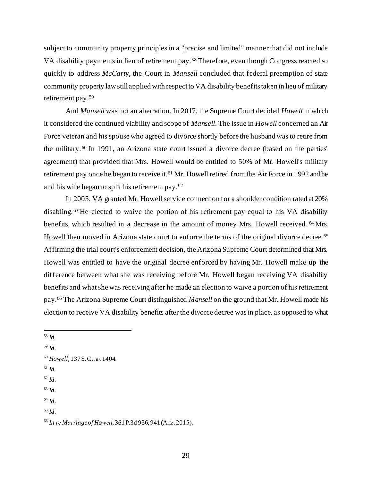subject to community property principles in a "precise and limited" manner that did not include VA disability payments in lieu of retirement pay.<sup>58</sup> Therefore, even though Congress reacted so quickly to address *McCarty*, the Court in *Mansell* concluded that federal preemption of state community property law still applied with respect to VA disability benefits taken in lieu of military retirement pay.<sup>59</sup>

And *Mansell* was not an aberration. In 2017, the Supreme Court decided *Howell* in which it considered the continued viability and scope of *Mansell*. The issue in *Howell* concerned an Air Force veteran and his spouse who agreed to divorce shortly before the husband was to retire from the military. <sup>60</sup> In 1991, an Arizona state court issued a divorce decree (based on the parties' agreement) that provided that Mrs. Howell would be entitled to 50% of Mr. Howell's military retirement pay once he began to receive it.<sup>61</sup> Mr. Howell retired from the Air Force in 1992 and he and his wife began to split his retirement pay.<sup>62</sup>

In 2005, VA granted Mr. Howell service connection for a shoulder condition rated at 20% disabling. <sup>63</sup> He elected to waive the portion of his retirement pay equal to his VA disability benefits, which resulted in a decrease in the amount of money Mrs. Howell received. <sup>64</sup> Mrs. Howell then moved in Arizona state court to enforce the terms of the original divorce decree. <sup>65</sup> Affirming the trial court's enforcement decision, the Arizona Supreme Court determined that Mrs. Howell was entitled to have the original decree enforced by having Mr. Howell make up the difference between what she was receiving before Mr. Howell began receiving VA disability benefits and what she was receiving after he made an election to waive a portion of his retirement pay.<sup>66</sup> The Arizona Supreme Court distinguished *Mansell* on the ground that Mr. Howell made his election to receive VA disability benefits after the divorce decree was in place, as opposed to what

- $^{61}$  *Id*.
- <sup>62</sup> *Id*.
- <sup>63</sup> *Id*.
- <sup>64</sup> *Id*.

<sup>65</sup> *Id*.

<sup>66</sup> *In re Marriage of Howell*, 361 P.3d 936, 941 (Ariz. 2015).

<sup>58</sup> *Id*.

<sup>59</sup> *Id*.

<sup>60</sup> *Howell*, 137 S. Ct. at 1404.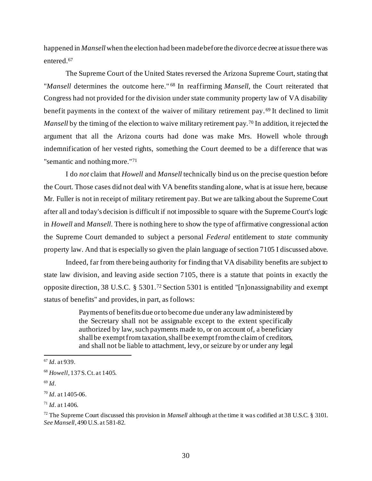happened in *Mansell*when the election had been made before the divorce decree at issue there was entered.<sup>67</sup>

The Supreme Court of the United States reversed the Arizona Supreme Court, stating that "*Mansell* determines the outcome here." <sup>68</sup> In reaffirming *Mansell*, the Court reiterated that Congress had not provided for the division under state community property law of VA disability benefit payments in the context of the waiver of military retirement pay. <sup>69</sup> It declined to limit *Mansell* by the timing of the election to waive military retirement pay.<sup>70</sup> In addition, it rejected the argument that all the Arizona courts had done was make Mrs. Howell whole through indemnification of her vested rights, something the Court deemed to be a difference that was "semantic and nothing more."<sup>71</sup>

I do *not* claim that *Howell* and *Mansell* technically bind us on the precise question before the Court. Those cases did not deal with VA benefits standing alone, what is at issue here, because Mr. Fuller is not in receipt of military retirement pay. But we are talking about the Supreme Court after all and today's decision is difficult if not impossible to square with the Supreme Court's logic in *Howell* and *Mansell*. There is nothing here to show the type of affirmative congressional action the Supreme Court demanded to subject a personal *Federal* entitlement to *state* community property law. And that is especially so given the plain language of section 7105 I discussed above.

Indeed, far from there being authority for finding that VA disability benefits are subject to state law division, and leaving aside section 7105, there is a statute that points in exactly the opposite direction, 38 U.S.C. § 5301.<sup>72</sup> Section 5301 is entitled "[n]onassignability and exempt status of benefits" and provides, in part, as follows:

> Payments of benefits due or to become due under any law administered by the Secretary shall not be assignable except to the extent specifically authorized by law, such payments made to, or on account of, a beneficiary shall be exempt from taxation, shall be exempt from the claim of creditors, and shall not be liable to attachment, levy, or seizure by or under any legal

<sup>67</sup> *Id*. at 939.

<sup>68</sup> *Howell*, 137 S. Ct. at 1405.

<sup>69</sup> *Id*.

<sup>70</sup> *Id*. at 1405-06.

<sup>71</sup> *Id*. at 1406.

<sup>72</sup> The Supreme Court discussed this provision in *Mansell* although at the time it was codified at 38 U.S.C. § 3101. *See Mansell*, 490 U.S. at 581-82.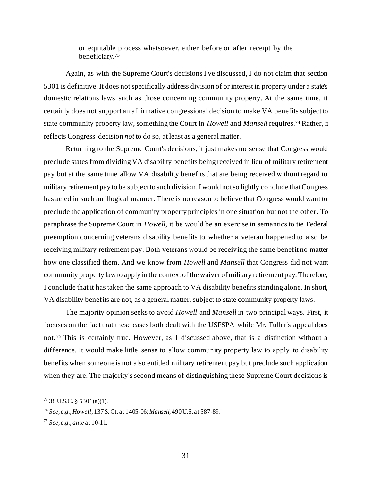or equitable process whatsoever, either before or after receipt by the beneficiary.<sup>73</sup>

Again, as with the Supreme Court's decisions I've discussed, I do not claim that section 5301 is definitive. It does not specifically address division of or interest in property under a state's domestic relations laws such as those concerning community property. At the same time, it certainly does not support an affirmative congressional decision to make VA benefits subject to state community property law, something the Court in *Howell* and *Mansell* requires.<sup>74</sup> Rather, it reflects Congress' decision *not* to do so, at least as a general matter.

Returning to the Supreme Court's decisions, it just makes no sense that Congress would preclude states from dividing VA disability benefits being received in lieu of military retirement pay but at the same time allow VA disability benefits that are being received without regard to military retirement pay to be subject to such division. I would not so lightly conclude that Congress has acted in such an illogical manner. There is no reason to believe that Congress would want to preclude the application of community property principles in one situation but not the other. To paraphrase the Supreme Court in *Howell*, it be would be an exercise in semantics to tie Federal preemption concerning veterans disability benefits to whether a veteran happened to also be receiving military retirement pay. Both veterans would be receiving the same benefit no matter how one classified them. And we know from *Howell* and *Mansell* that Congress did not want community property law to apply in the context of the waiver of military retirement pay. Therefore, I conclude that it has taken the same approach to VA disability benefits standing alone. In short, VA disability benefits are not, as a general matter, subject to state community property laws.

The majority opinion seeks to avoid *Howell* and *Mansell* in two principal ways. First, it focuses on the fact that these cases both dealt with the USFSPA while Mr. Fuller's appeal does not. <sup>75</sup> This is certainly true. However, as I discussed above, that is a distinction without a difference. It would make little sense to allow community property law to apply to disability benefits when someone is not also entitled military retirement pay but preclude such application when they are. The majority's second means of distinguishing these Supreme Court decisions is

<sup>73</sup> 38 U.S.C. § 5301(a)(1).

<sup>74</sup> *See, e.g., Howell*, 137 S. Ct. at 1405-06; *Mansell*, 490 U.S. at 587-89.

<sup>75</sup> *See, e.g., ante* at 10-11.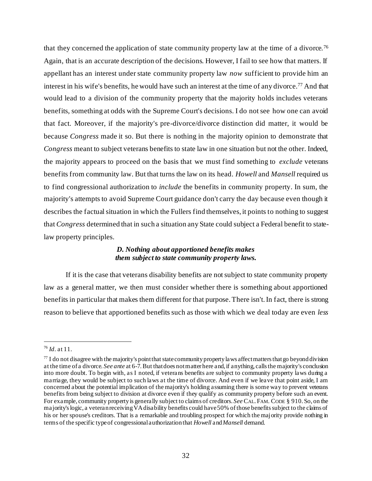that they concerned the application of state community property law at the time of a divorce.<sup>76</sup> Again, that is an accurate description of the decisions. However, I fail to see how that matters. If appellant has an interest under state community property law *now* sufficient to provide him an interest in his wife's benefits, he would have such an interest at the time of any divorce.<sup>77</sup> And that would lead to a division of the community property that the majority holds includes veterans benefits, something at odds with the Supreme Court's decisions. I do not see how one can avoid that fact. Moreover, if the majority's pre-divorce/divorce distinction did matter, it would be because *Congress* made it so. But there is nothing in the majority opinion to demonstrate that *Congress* meant to subject veterans benefits to state law in one situation but not the other. Indeed, the majority appears to proceed on the basis that we must find something to *exclude* veterans benefits from community law. But that turns the law on its head. *Howell* and *Mansell* required us to find congressional authorization to *include* the benefits in community property. In sum, the majority's attempts to avoid Supreme Court guidance don't carry the day because even though it describes the factual situation in which the Fullers find themselves, it points to nothing to suggest that *Congress* determined that in such a situation any State could subject a Federal benefit to statelaw property principles.

# *D. Nothing about apportioned benefits makes them subject to state community property laws.*

If it is the case that veterans disability benefits are not subject to state community property law as a general matter, we then must consider whether there is something about apportioned benefits in particular that makes them different for that purpose. There isn't. In fact, there is strong reason to believe that apportioned benefits such as those with which we deal today are even *less*

<sup>76</sup> *Id*. at 11.

 $^{77}$  I do not disagree with the majority's point that state community property laws affect matters that go beyond division at the time of a divorce. *See ante* at 6-7.But that does not matter here and, if anything, calls the majority's conclusion into more doubt. To begin with, as I noted, if veterans benefits are subject to community property laws during a marriage, they would be subject to such laws at the time of divorce. And even if we leave that point aside, I am concerned about the potential implication of the majority's holding assuming there is some way to prevent veterans benefits from being subject to division at divorce even if they qualify as community property before such an event. For example, community property is generally subject to claims of creditors. *See* CAL. FAM. CODE § 910. So, on the majority's logic, a veteran receiving VA disability benefits could have 50% of those benefits subject to the claims of his or her spouse's creditors. That is a remarkable and troubling prospect for which the majority provide nothing in terms of the specific type of congressional authorization that *Howell* and *Mansell* demand.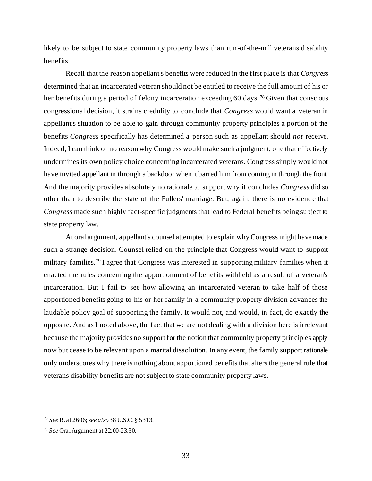likely to be subject to state community property laws than run-of-the-mill veterans disability benefits.

Recall that the reason appellant's benefits were reduced in the first place is that *Congress* determined that an incarcerated veteran should not be entitled to receive the full amount of his or her benefits during a period of felony incarceration exceeding 60 days.<sup>78</sup> Given that conscious congressional decision, it strains credulity to conclude that *Congress* would want a veteran in appellant's situation to be able to gain through community property principles a portion of the benefits *Congress* specifically has determined a person such as appellant should *not* receive. Indeed, I can think of no reason why Congress would make such a judgment, one that effectively undermines its own policy choice concerning incarcerated veterans. Congress simply would not have invited appellant in through a backdoor when it barred him from coming in through the front. And the majority provides absolutely no rationale to support why it concludes *Congress* did so other than to describe the state of the Fullers' marriage. But, again, there is no evidenc e that *Congress* made such highly fact-specific judgments that lead to Federal benefits being subject to state property law.

At oral argument, appellant's counsel attempted to explain why Congress might have made such a strange decision. Counsel relied on the principle that Congress would want to support military families.<sup>79</sup> I agree that Congress was interested in supporting military families when it enacted the rules concerning the apportionment of benefits withheld as a result of a veteran's incarceration. But I fail to see how allowing an incarcerated veteran to take half of those apportioned benefits going to his or her family in a community property division advances the laudable policy goal of supporting the family. It would not, and would, in fact, do e xactly the opposite. And as I noted above, the fact that we are not dealing with a division here is irrelevant because the majority provides no support for the notion that community property principles apply now but cease to be relevant upon a marital dissolution. In any event, the family support rationale only underscores why there is nothing about apportioned benefits that alters the general rule that veterans disability benefits are not subject to state community property laws.

<sup>78</sup> *See* R. at 2606; *see also* 38 U.S.C. § 5313.

<sup>79</sup> *See* Oral Argument at 22:00-23:30.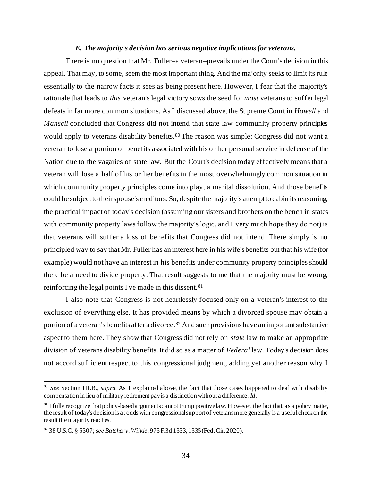### *E. The majority's decision has serious negative implications for veterans.*

There is no question that Mr. Fuller–a veteran–prevails under the Court's decision in this appeal. That may, to some, seem the most important thing. And the majority seeks to limit its rule essentially to the narrow facts it sees as being present here. However, I fear that the majority's rationale that leads to *this* veteran's legal victory sows the seed for *most* veterans to suffer legal defeats in far more common situations. As I discussed above, the Supreme Court in *Howell* and *Mansell* concluded that Congress did not intend that state law community property principles would apply to veterans disability benefits.<sup>80</sup> The reason was simple: Congress did not want a veteran to lose a portion of benefits associated with his or her personal service in defense of the Nation due to the vagaries of state law. But the Court's decision today effectively means that a veteran will lose a half of his or her benefits in the most overwhelmingly common situation in which community property principles come into play, a marital dissolution. And those benefits could be subject to their spouse's creditors. So, despite the majority's attempt to cabin its reasoning, the practical impact of today's decision (assuming our sisters and brothers on the bench in states with community property laws follow the majority's logic, and I very much hope they do not) is that veterans will suffer a loss of benefits that Congress did not intend. There simply is no principled way to say that Mr. Fuller has an interest here in his wife's benefits but that his wife (for example) would not have an interest in his benefits under community property principles should there be a need to divide property. That result suggests to me that the majority must be wrong, reinforcing the legal points I've made in this dissent.<sup>81</sup>

I also note that Congress is not heartlessly focused only on a veteran's interest to the exclusion of everything else. It has provided means by which a divorced spouse may obtain a portion of a veteran's benefits after a divorce.<sup>82</sup> And such provisions have an important substantive aspect to them here. They show that Congress did not rely on *state* law to make an appropriate division of veterans disability benefits. It did so as a matter of *Federal* law. Today's decision does not accord sufficient respect to this congressional judgment, adding yet another reason why I

<sup>80</sup> *See* Section III.B., *supra*. As I explained above, the fact that those cases happened to deal with disability compensation in lieu of military retirement pay is a distinction without a difference. *Id*.

 $81$  I fully recognize that policy-based arguments cannot trump positive law. However, the fact that, as a policy matter, the result of today's decision is at odds with congressional support of veterans more generally is a useful check on the result the majority reaches.

<sup>82</sup> 38 U.S.C. § 5307; *see Batcher v. Wilkie*, 975 F.3d 1333, 1335 (Fed. Cir. 2020).